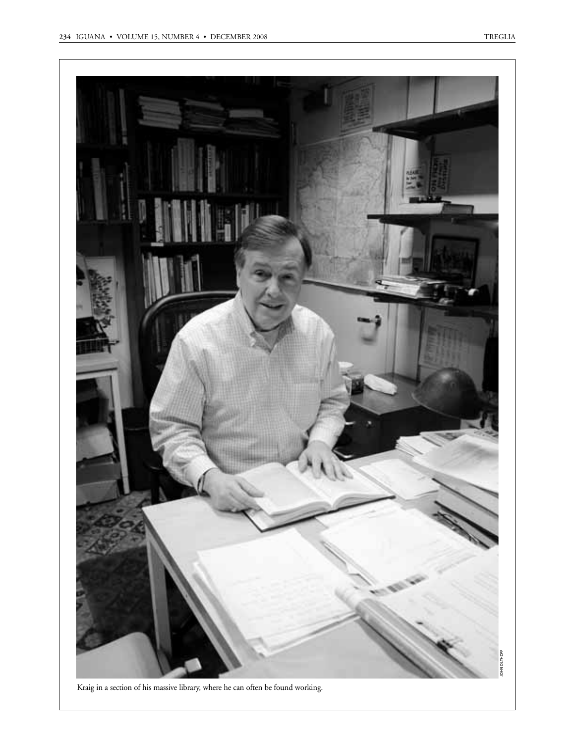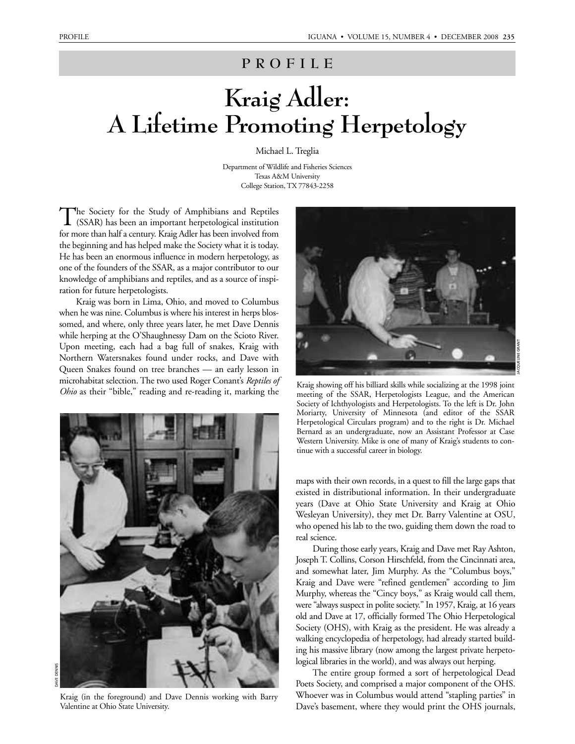## **PROFILE**

## **Kraig Adler: A Lifetime Promoting Herpetology**

Michael L. Treglia

Department of Wildlife and Fisheries Sciences Texas A&M University College Station, TX 77843-2258

The Society for the Study of Amphibians and Reptiles<br>
(SSAR) has been an important herpetological institution for more than half a century. Kraig Adler has been involved from the beginning and has helped make the Society what it is today. He has been an enormous influence in modern herpetology, as one of the founders of the SSAR, as a major contributor to our knowledge of amphibians and reptiles, and as a source of inspiration for future herpetologists.

Kraig was born in Lima, Ohio, and moved to Columbus when he was nine. Columbus is where his interest in herps blossomed, and where, only three years later, he met Dave Dennis while herping at the O'Shaughnessy Dam on the Scioto River. Upon meeting, each had a bag full of snakes, Kraig with Northern Watersnakes found under rocks, and Dave with Queen Snakes found on tree branches — an early lesson in microhabitat selection. The two used Roger Conant's *Reptiles of Ohio* as their "bible," reading and re-reading it, marking the



Kraig (in the foreground) and Dave Dennis working with Barry Valentine at Ohio State University.



Kraig showing off his billiard skills while socializing at the 1998 joint meeting of the SSAR, Herpetologists League, and the American Society of Ichthyologists and Herpetologists. To the left is Dr. John Moriarty, University of Minnesota (and editor of the SSAR Herpetological Circulars program) and to the right is Dr. Michael Bernard as an undergraduate, now an Assistant Professor at Case Western University. Mike is one of many of Kraig's students to continue with a successful career in biology.

maps with their own records, in a quest to fill the large gaps that existed in distributional information. In their undergraduate years (Dave at Ohio State University and Kraig at Ohio Wesleyan University), they met Dr. Barry Valentine at OSU, who opened his lab to the two, guiding them down the road to real science.

During those early years, Kraig and Dave met Ray Ashton, Joseph T. Collins, Corson Hirschfeld, from the Cincinnati area, and somewhat later, Jim Murphy. As the "Columbus boys," Kraig and Dave were "refined gentlemen" according to Jim Murphy, whereas the "Cincy boys," as Kraig would call them, were "always suspect in polite society." In 1957, Kraig, at 16 years old and Dave at 17, officially formed The Ohio Herpetological Society (OHS), with Kraig as the president. He was already a walking encyclopedia of herpetology, had already started building his massive library (now among the largest private herpetological libraries in the world), and was always out herping.

The entire group formed a sort of herpetological Dead Poets Society, and comprised a major component of the OHS. Whoever was in Columbus would attend "stapling parties" in Dave's basement, where they would print the OHS journals,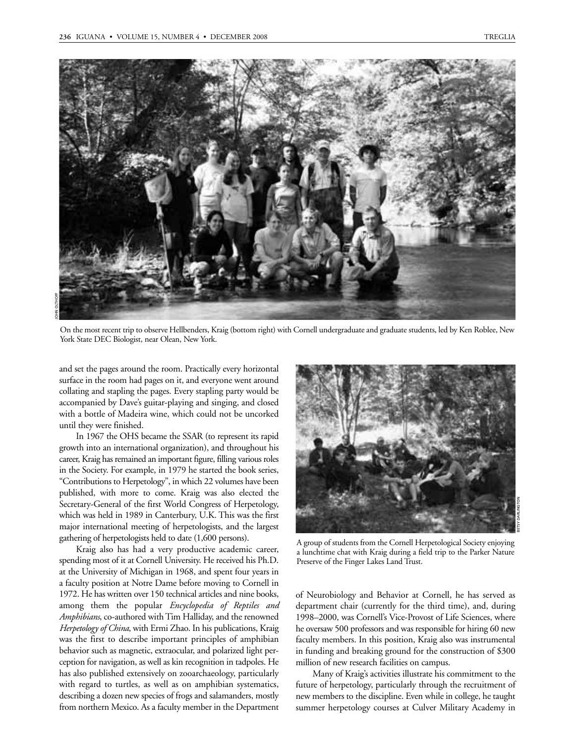

On the most recent trip to observe Hellbenders, Kraig (bottom right) with Cornell undergraduate and graduate students, led by Ken Roblee, New York State DEC Biologist, near Olean, New York.

and set the pages around the room. Practically every horizontal surface in the room had pages on it, and everyone went around collating and stapling the pages. Every stapling party would be accompanied by Dave's guitar-playing and singing, and closed with a bottle of Madeira wine, which could not be uncorked until they were finished.

In 1967 the OHS became the SSAR (to represent its rapid growth into an international organization), and throughout his career, Kraig has remained an important figure, filling various roles in the Society. For example, in 1979 he started the book series, "Contributions to Herpetology", in which 22 volumes have been published, with more to come. Kraig was also elected the Secretary-General of the first World Congress of Herpetology, which was held in 1989 in Canterbury, U.K. This was the first major international meeting of herpetologists, and the largest gathering of herpetologists held to date (1,600 persons).

Kraig also has had a very productive academic career, spending most of it at Cornell University. He received his Ph.D. at the University of Michigan in 1968, and spent four years in a faculty position at Notre Dame before moving to Cornell in 1972. He has written over 150 technical articles and nine books, among them the popular *Encyclopedia of Reptiles and Amphibians*, co-authored with Tim Halliday, and the renowned *Herpetology of China*, with Ermi Zhao. In his publications, Kraig was the first to describe important principles of amphibian behavior such as magnetic, extraocular, and polarized light perception for navigation, as well as kin recognition in tadpoles. He has also published extensively on zooarchaeology, particularly with regard to turtles, as well as on amphibian systematics, describing a dozen new species of frogs and salamanders, mostly from northern Mexico. As a faculty member in the Department



BETSY DARLINGTON

A group of students from the Cornell Herpetological Society enjoying a lunchtime chat with Kraig during a field trip to the Parker Nature Preserve of the Finger Lakes Land Trust.

of Neurobiology and Behavior at Cornell, he has served as department chair (currently for the third time), and, during 1998–2000, was Cornell's Vice-Provost of Life Sciences, where he oversaw 500 professors and was responsible for hiring 60 new faculty members. In this position, Kraig also was instrumental in funding and breaking ground for the construction of \$300 million of new research facilities on campus.

Many of Kraig's activities illustrate his commitment to the future of herpetology, particularly through the recruitment of new members to the discipline. Even while in college, he taught summer herpetology courses at Culver Military Academy in